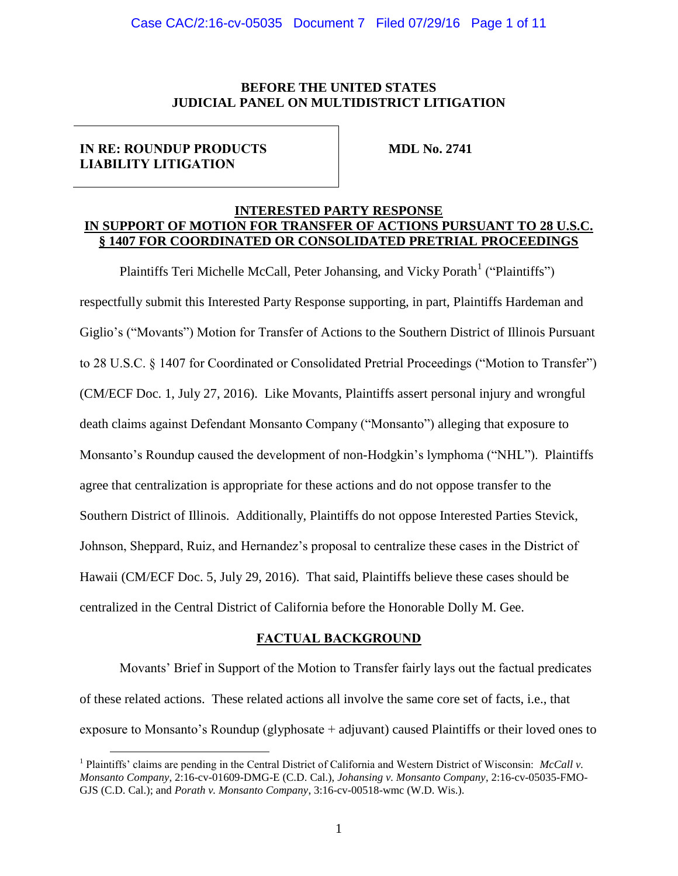### **BEFORE THE UNITED STATES JUDICIAL PANEL ON MULTIDISTRICT LITIGATION**

### **IN RE: ROUNDUP PRODUCTS LIABILITY LITIGATION**

 $\overline{a}$ 

**MDL No. 2741**

### **INTERESTED PARTY RESPONSE IN SUPPORT OF MOTION FOR TRANSFER OF ACTIONS PURSUANT TO 28 U.S.C. § 1407 FOR COORDINATED OR CONSOLIDATED PRETRIAL PROCEEDINGS**

Plaintiffs Teri Michelle McCall, Peter Johansing, and Vicky Porath<sup>1</sup> ("Plaintiffs") respectfully submit this Interested Party Response supporting, in part, Plaintiffs Hardeman and Giglio's ("Movants") Motion for Transfer of Actions to the Southern District of Illinois Pursuant to 28 U.S.C. § 1407 for Coordinated or Consolidated Pretrial Proceedings ("Motion to Transfer") (CM/ECF Doc. 1, July 27, 2016). Like Movants, Plaintiffs assert personal injury and wrongful death claims against Defendant Monsanto Company ("Monsanto") alleging that exposure to Monsanto's Roundup caused the development of non-Hodgkin's lymphoma ("NHL"). Plaintiffs agree that centralization is appropriate for these actions and do not oppose transfer to the Southern District of Illinois. Additionally, Plaintiffs do not oppose Interested Parties Stevick, Johnson, Sheppard, Ruiz, and Hernandez's proposal to centralize these cases in the District of Hawaii (CM/ECF Doc. 5, July 29, 2016). That said, Plaintiffs believe these cases should be centralized in the Central District of California before the Honorable Dolly M. Gee.

### **FACTUAL BACKGROUND**

Movants' Brief in Support of the Motion to Transfer fairly lays out the factual predicates of these related actions. These related actions all involve the same core set of facts, i.e., that exposure to Monsanto's Roundup (glyphosate + adjuvant) caused Plaintiffs or their loved ones to

<sup>&</sup>lt;sup>1</sup> Plaintiffs' claims are pending in the Central District of California and Western District of Wisconsin: *McCall v. Monsanto Company*, 2:16-cv-01609-DMG-E (C.D. Cal.), *Johansing v. Monsanto Company*, 2:16-cv-05035-FMO-GJS (C.D. Cal.); and *Porath v. Monsanto Company*, 3:16-cv-00518-wmc (W.D. Wis.).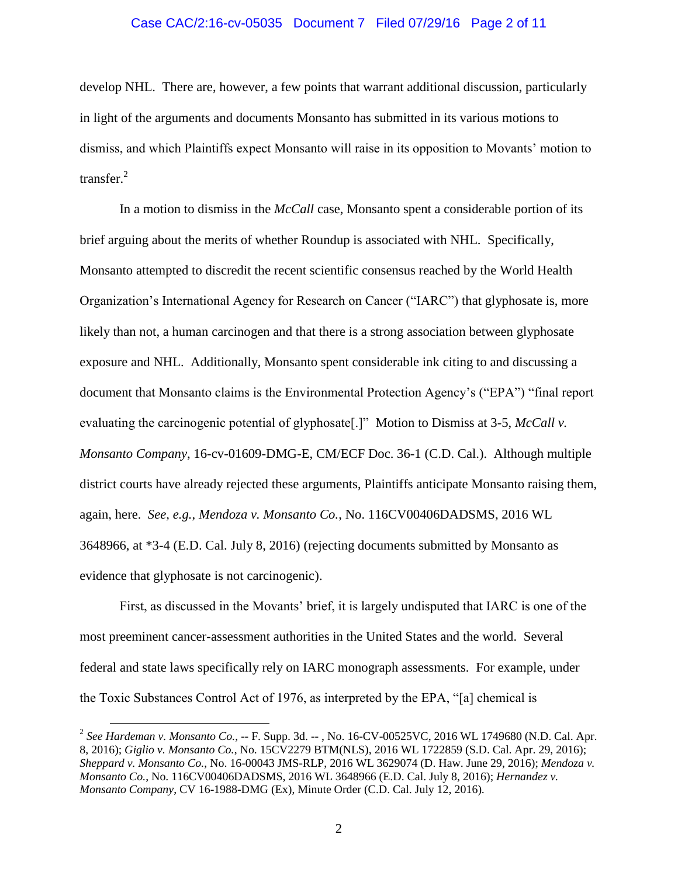#### Case CAC/2:16-cv-05035 Document 7 Filed 07/29/16 Page 2 of 11

develop NHL. There are, however, a few points that warrant additional discussion, particularly in light of the arguments and documents Monsanto has submitted in its various motions to dismiss, and which Plaintiffs expect Monsanto will raise in its opposition to Movants' motion to transfer. $^{2}$ 

In a motion to dismiss in the *McCall* case, Monsanto spent a considerable portion of its brief arguing about the merits of whether Roundup is associated with NHL. Specifically, Monsanto attempted to discredit the recent scientific consensus reached by the World Health Organization's International Agency for Research on Cancer ("IARC") that glyphosate is, more likely than not, a human carcinogen and that there is a strong association between glyphosate exposure and NHL. Additionally, Monsanto spent considerable ink citing to and discussing a document that Monsanto claims is the Environmental Protection Agency's ("EPA") "final report evaluating the carcinogenic potential of glyphosate[.]" Motion to Dismiss at 3-5, *McCall v. Monsanto Company*, 16-cv-01609-DMG-E, CM/ECF Doc. 36-1 (C.D. Cal.). Although multiple district courts have already rejected these arguments, Plaintiffs anticipate Monsanto raising them, again, here. *See, e.g.*, *Mendoza v. Monsanto Co.*, No. 116CV00406DADSMS, 2016 WL 3648966, at \*3-4 (E.D. Cal. July 8, 2016) (rejecting documents submitted by Monsanto as evidence that glyphosate is not carcinogenic).

First, as discussed in the Movants' brief, it is largely undisputed that IARC is one of the most preeminent cancer-assessment authorities in the United States and the world. Several federal and state laws specifically rely on IARC monograph assessments. For example, under the Toxic Substances Control Act of 1976, as interpreted by the EPA, "[a] chemical is

 $\overline{a}$ 

<sup>2</sup> *See Hardeman v. Monsanto Co.*, -- F. Supp. 3d. -- , No. 16-CV-00525VC, 2016 WL 1749680 (N.D. Cal. Apr. 8, 2016); *Giglio v. Monsanto Co.*, No. 15CV2279 BTM(NLS), 2016 WL 1722859 (S.D. Cal. Apr. 29, 2016); *Sheppard v. Monsanto Co.*, No. 16-00043 JMS-RLP, 2016 WL 3629074 (D. Haw. June 29, 2016); *Mendoza v. Monsanto Co.*, No. 116CV00406DADSMS, 2016 WL 3648966 (E.D. Cal. July 8, 2016); *Hernandez v. Monsanto Company*, CV 16-1988-DMG (Ex), Minute Order (C.D. Cal. July 12, 2016).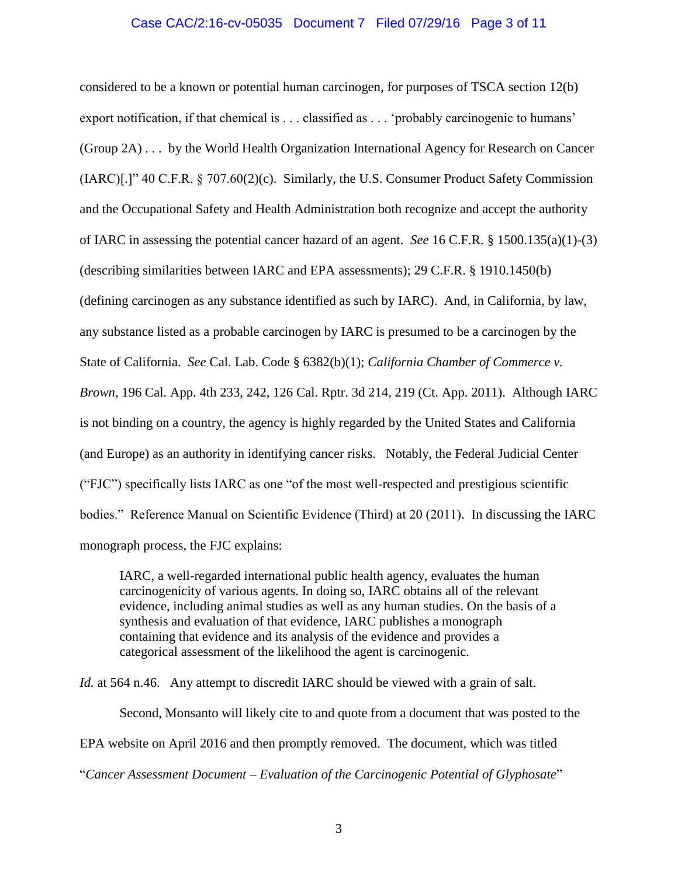## Case CAC/2:16-cv-05035 Document 7 Filed 07/29/16 Page 3 of 11

considered to be a known or potential human carcinogen, for purposes of TSCA section 12(b) export notification, if that chemical is . . . classified as . . . 'probably carcinogenic to humans' (Group 2A) . . . by the World Health Organization International Agency for Research on Cancer (IARC)[.]" 40 C.F.R. § 707.60(2)(c). Similarly, the U.S. Consumer Product Safety Commission and the Occupational Safety and Health Administration both recognize and accept the authority of IARC in assessing the potential cancer hazard of an agent. *See* 16 C.F.R. § 1500.135(a)(1)-(3) (describing similarities between IARC and EPA assessments); 29 C.F.R. § 1910.1450(b) (defining carcinogen as any substance identified as such by IARC). And, in California, by law, any substance listed as a probable carcinogen by IARC is presumed to be a carcinogen by the State of California. *See* Cal. Lab. Code § 6382(b)(1); *California Chamber of Commerce v. Brown*, 196 Cal. App. 4th 233, 242, 126 Cal. Rptr. 3d 214, 219 (Ct. App. 2011). Although IARC is not binding on a country, the agency is highly regarded by the United States and California (and Europe) as an authority in identifying cancer risks. Notably, the Federal Judicial Center ("FJC") specifically lists IARC as one "of the most well-respected and prestigious scientific bodies." Reference Manual on Scientific Evidence (Third) at 20 (2011). In discussing the IARC monograph process, the FJC explains:

IARC, a well-regarded international public health agency, evaluates the human carcinogenicity of various agents. In doing so, IARC obtains all of the relevant evidence, including animal studies as well as any human studies. On the basis of a synthesis and evaluation of that evidence, IARC publishes a monograph containing that evidence and its analysis of the evidence and provides a categorical assessment of the likelihood the agent is carcinogenic.

*Id.* at 564 n.46. Any attempt to discredit IARC should be viewed with a grain of salt.

Second, Monsanto will likely cite to and quote from a document that was posted to the EPA website on April 2016 and then promptly removed. The document, which was titled "*Cancer Assessment Document – Evaluation of the Carcinogenic Potential of Glyphosate*"

3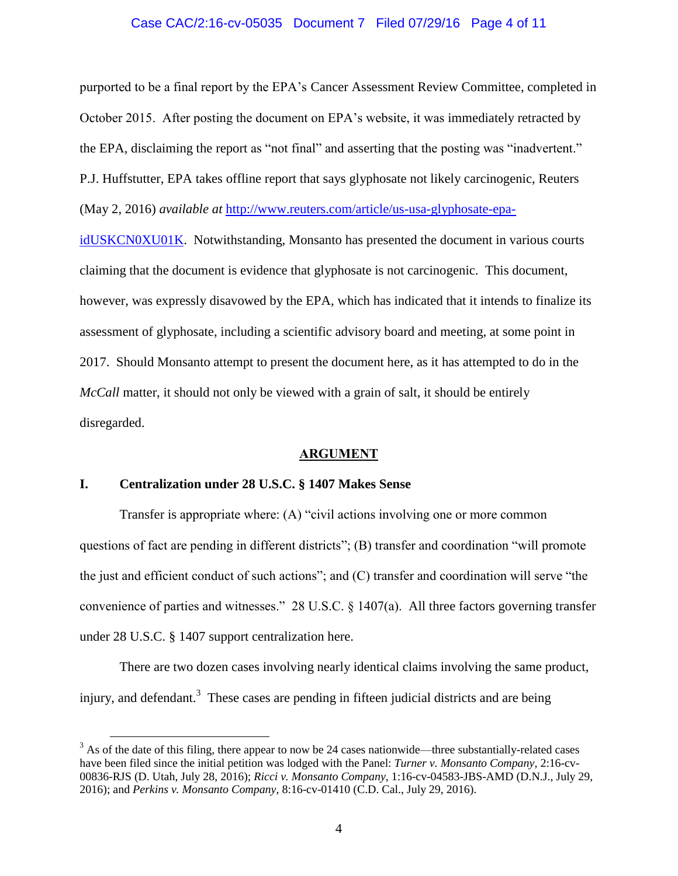#### Case CAC/2:16-cv-05035 Document 7 Filed 07/29/16 Page 4 of 11

purported to be a final report by the EPA's Cancer Assessment Review Committee, completed in October 2015. After posting the document on EPA's website, it was immediately retracted by the EPA, disclaiming the report as "not final" and asserting that the posting was "inadvertent." P.J. Huffstutter, EPA takes offline report that says glyphosate not likely carcinogenic, Reuters (May 2, 2016) *available at* [http://www.reuters.com/article/us-usa-glyphosate-epa-](http://www.reuters.com/article/us-usa-glyphosate-epa-idUSKCN0XU01K)

[idUSKCN0XU01K.](http://www.reuters.com/article/us-usa-glyphosate-epa-idUSKCN0XU01K) Notwithstanding, Monsanto has presented the document in various courts claiming that the document is evidence that glyphosate is not carcinogenic. This document, however, was expressly disavowed by the EPA, which has indicated that it intends to finalize its assessment of glyphosate, including a scientific advisory board and meeting, at some point in 2017. Should Monsanto attempt to present the document here, as it has attempted to do in the *McCall* matter, it should not only be viewed with a grain of salt, it should be entirely disregarded.

#### **ARGUMENT**

### **I. Centralization under 28 U.S.C. § 1407 Makes Sense**

 $\overline{a}$ 

Transfer is appropriate where: (A) "civil actions involving one or more common questions of fact are pending in different districts"; (B) transfer and coordination "will promote the just and efficient conduct of such actions"; and (C) transfer and coordination will serve "the convenience of parties and witnesses." 28 U.S.C. § 1407(a). All three factors governing transfer under 28 U.S.C. § 1407 support centralization here.

There are two dozen cases involving nearly identical claims involving the same product, injury, and defendant.<sup>3</sup> These cases are pending in fifteen judicial districts and are being

 $3$  As of the date of this filing, there appear to now be 24 cases nationwide—three substantially-related cases have been filed since the initial petition was lodged with the Panel: *Turner v. Monsanto Company*, 2:16-cv-00836-RJS (D. Utah, July 28, 2016); *Ricci v. Monsanto Company*, 1:16-cv-04583-JBS-AMD (D.N.J., July 29, 2016); and *Perkins v. Monsanto Company*, 8:16-cv-01410 (C.D. Cal., July 29, 2016).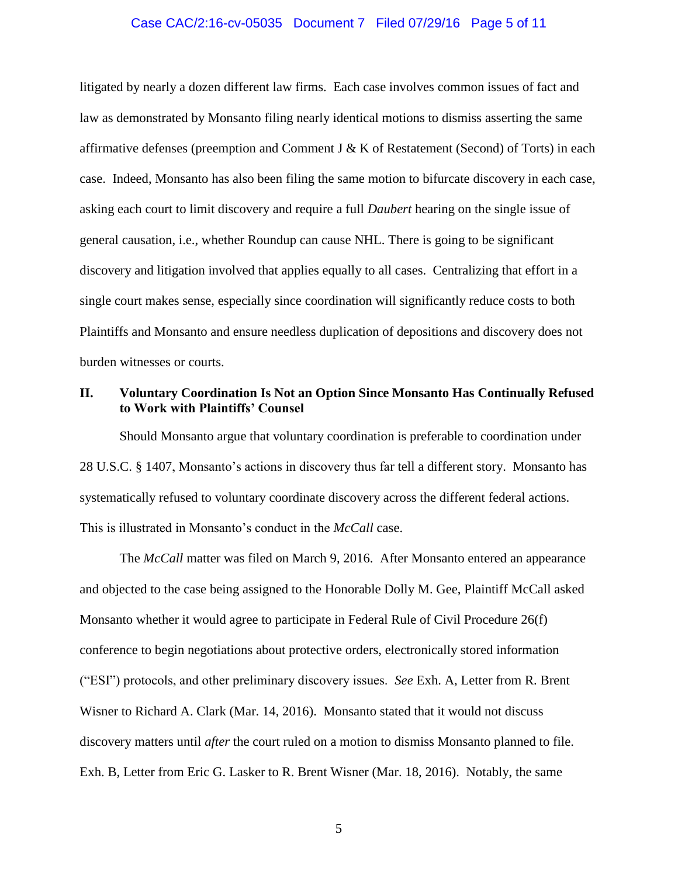#### Case CAC/2:16-cv-05035 Document 7 Filed 07/29/16 Page 5 of 11

litigated by nearly a dozen different law firms. Each case involves common issues of fact and law as demonstrated by Monsanto filing nearly identical motions to dismiss asserting the same affirmative defenses (preemption and Comment J & K of Restatement (Second) of Torts) in each case. Indeed, Monsanto has also been filing the same motion to bifurcate discovery in each case, asking each court to limit discovery and require a full *Daubert* hearing on the single issue of general causation, i.e., whether Roundup can cause NHL. There is going to be significant discovery and litigation involved that applies equally to all cases. Centralizing that effort in a single court makes sense, especially since coordination will significantly reduce costs to both Plaintiffs and Monsanto and ensure needless duplication of depositions and discovery does not burden witnesses or courts.

### **II. Voluntary Coordination Is Not an Option Since Monsanto Has Continually Refused to Work with Plaintiffs' Counsel**

Should Monsanto argue that voluntary coordination is preferable to coordination under 28 U.S.C. § 1407, Monsanto's actions in discovery thus far tell a different story. Monsanto has systematically refused to voluntary coordinate discovery across the different federal actions. This is illustrated in Monsanto's conduct in the *McCall* case.

The *McCall* matter was filed on March 9, 2016. After Monsanto entered an appearance and objected to the case being assigned to the Honorable Dolly M. Gee, Plaintiff McCall asked Monsanto whether it would agree to participate in Federal Rule of Civil Procedure 26(f) conference to begin negotiations about protective orders, electronically stored information ("ESI") protocols, and other preliminary discovery issues. *See* Exh. A, Letter from R. Brent Wisner to Richard A. Clark (Mar. 14, 2016). Monsanto stated that it would not discuss discovery matters until *after* the court ruled on a motion to dismiss Monsanto planned to file. Exh. B, Letter from Eric G. Lasker to R. Brent Wisner (Mar. 18, 2016). Notably, the same

5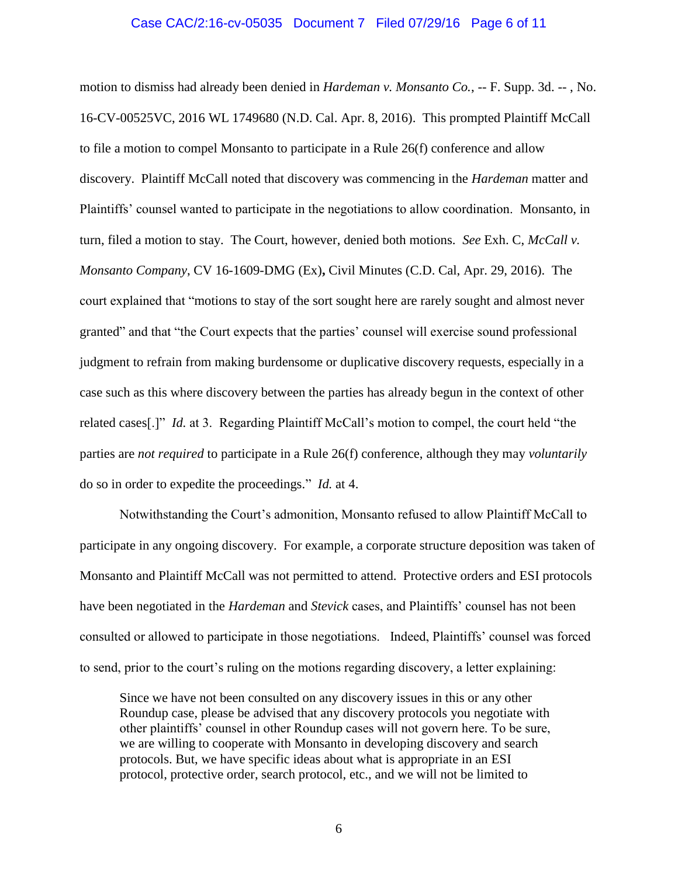#### Case CAC/2:16-cv-05035 Document 7 Filed 07/29/16 Page 6 of 11

motion to dismiss had already been denied in *Hardeman v. Monsanto Co.*, -- F. Supp. 3d. -- , No. 16-CV-00525VC, 2016 WL 1749680 (N.D. Cal. Apr. 8, 2016). This prompted Plaintiff McCall to file a motion to compel Monsanto to participate in a Rule 26(f) conference and allow discovery. Plaintiff McCall noted that discovery was commencing in the *Hardeman* matter and Plaintiffs' counsel wanted to participate in the negotiations to allow coordination. Monsanto, in turn, filed a motion to stay. The Court, however, denied both motions. *See* Exh. C, *McCall v. Monsanto Company*, CV 16-1609-DMG (Ex)**,** Civil Minutes (C.D. Cal, Apr. 29, 2016). The court explained that "motions to stay of the sort sought here are rarely sought and almost never granted" and that "the Court expects that the parties' counsel will exercise sound professional judgment to refrain from making burdensome or duplicative discovery requests, especially in a case such as this where discovery between the parties has already begun in the context of other related cases[.]" *Id.* at 3. Regarding Plaintiff McCall's motion to compel, the court held "the parties are *not required* to participate in a Rule 26(f) conference, although they may *voluntarily*  do so in order to expedite the proceedings." *Id.* at 4.

Notwithstanding the Court's admonition, Monsanto refused to allow Plaintiff McCall to participate in any ongoing discovery. For example, a corporate structure deposition was taken of Monsanto and Plaintiff McCall was not permitted to attend. Protective orders and ESI protocols have been negotiated in the *Hardeman* and *Stevick* cases, and Plaintiffs' counsel has not been consulted or allowed to participate in those negotiations. Indeed, Plaintiffs' counsel was forced to send, prior to the court's ruling on the motions regarding discovery, a letter explaining:

Since we have not been consulted on any discovery issues in this or any other Roundup case, please be advised that any discovery protocols you negotiate with other plaintiffs' counsel in other Roundup cases will not govern here. To be sure, we are willing to cooperate with Monsanto in developing discovery and search protocols. But, we have specific ideas about what is appropriate in an ESI protocol, protective order, search protocol, etc., and we will not be limited to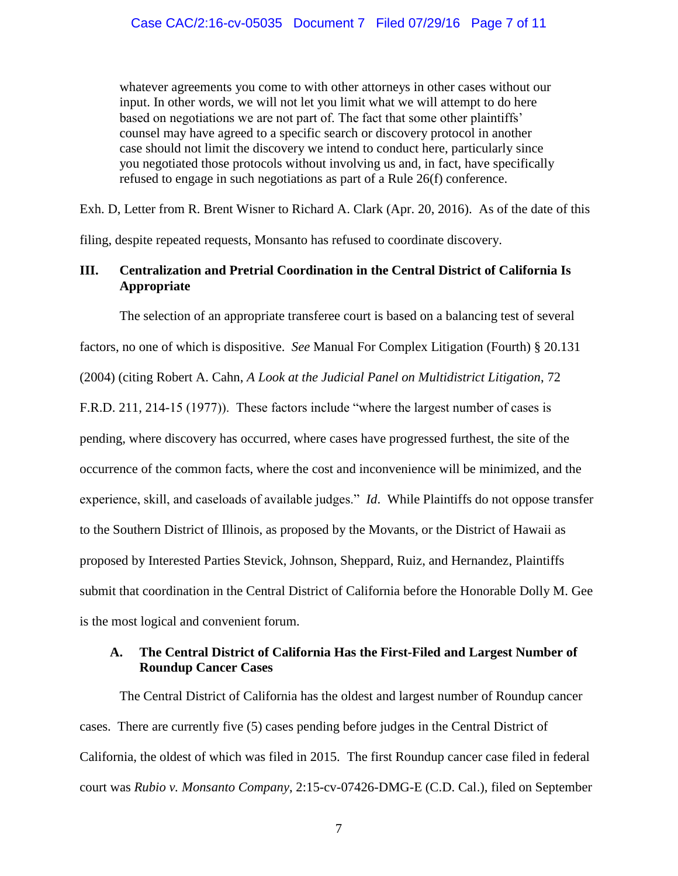whatever agreements you come to with other attorneys in other cases without our input. In other words, we will not let you limit what we will attempt to do here based on negotiations we are not part of. The fact that some other plaintiffs' counsel may have agreed to a specific search or discovery protocol in another case should not limit the discovery we intend to conduct here, particularly since you negotiated those protocols without involving us and, in fact, have specifically refused to engage in such negotiations as part of a Rule 26(f) conference.

Exh. D, Letter from R. Brent Wisner to Richard A. Clark (Apr. 20, 2016). As of the date of this filing, despite repeated requests, Monsanto has refused to coordinate discovery.

# **III. Centralization and Pretrial Coordination in the Central District of California Is Appropriate**

The selection of an appropriate transferee court is based on a balancing test of several factors, no one of which is dispositive. *See* Manual For Complex Litigation (Fourth) § 20.131 (2004) (citing Robert A. Cahn, *A Look at the Judicial Panel on Multidistrict Litigation*, 72

F.R.D. 211, 214-15 (1977)). These factors include "where the largest number of cases is pending, where discovery has occurred, where cases have progressed furthest, the site of the occurrence of the common facts, where the cost and inconvenience will be minimized, and the experience, skill, and caseloads of available judges." *Id*. While Plaintiffs do not oppose transfer to the Southern District of Illinois, as proposed by the Movants, or the District of Hawaii as proposed by Interested Parties Stevick, Johnson, Sheppard, Ruiz, and Hernandez, Plaintiffs submit that coordination in the Central District of California before the Honorable Dolly M. Gee is the most logical and convenient forum.

## **A. The Central District of California Has the First-Filed and Largest Number of Roundup Cancer Cases**

The Central District of California has the oldest and largest number of Roundup cancer cases. There are currently five (5) cases pending before judges in the Central District of California, the oldest of which was filed in 2015. The first Roundup cancer case filed in federal court was *Rubio v. Monsanto Company*, 2:15-cv-07426-DMG-E (C.D. Cal.), filed on September

7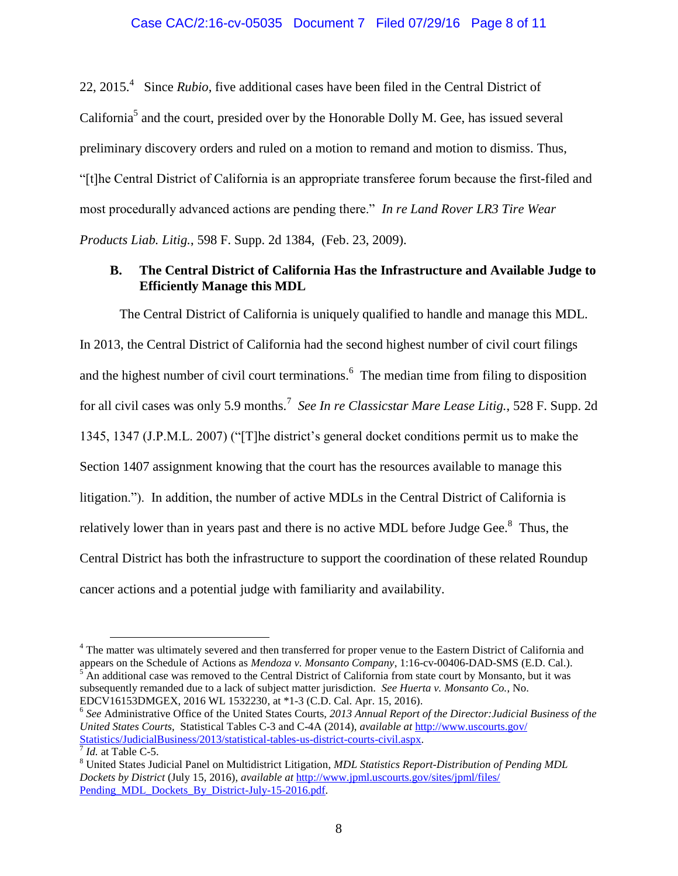# Case CAC/2:16-cv-05035 Document 7 Filed 07/29/16 Page 8 of 11

22, 2015.<sup>4</sup> Since *Rubio*, five additional cases have been filed in the Central District of California<sup>5</sup> and the court, presided over by the Honorable Dolly M. Gee, has issued several preliminary discovery orders and ruled on a motion to remand and motion to dismiss. Thus, "[t]he Central District of California is an appropriate transferee forum because the first-filed and most procedurally advanced actions are pending there." *In re Land Rover LR3 Tire Wear Products Liab. Litig.*, 598 F. Supp. 2d 1384, (Feb. 23, 2009).

## **B. The Central District of California Has the Infrastructure and Available Judge to Efficiently Manage this MDL**

The Central District of California is uniquely qualified to handle and manage this MDL. In 2013, the Central District of California had the second highest number of civil court filings and the highest number of civil court terminations.<sup>6</sup> The median time from filing to disposition for all civil cases was only 5.9 months.<sup>7</sup> *See In re Classicstar Mare Lease Litig.*, 528 F. Supp. 2d 1345, 1347 (J.P.M.L. 2007) ("[T]he district's general docket conditions permit us to make the Section 1407 assignment knowing that the court has the resources available to manage this litigation."). In addition, the number of active MDLs in the Central District of California is relatively lower than in years past and there is no active MDL before Judge Gee.<sup>8</sup> Thus, the Central District has both the infrastructure to support the coordination of these related Roundup cancer actions and a potential judge with familiarity and availability.

 $\overline{a}$ 

<sup>4</sup> The matter was ultimately severed and then transferred for proper venue to the Eastern District of California and appears on the Schedule of Actions as *Mendoza v. Monsanto Company*, 1:16-cv-00406-DAD-SMS (E.D. Cal.). <sup>5</sup> An additional case was removed to the Central District of California from state court by Monsanto, but it was subsequently remanded due to a lack of subject matter jurisdiction. *See Huerta v. Monsanto Co.*, No. EDCV16153DMGEX, 2016 WL 1532230, at \*1-3 (C.D. Cal. Apr. 15, 2016).

<sup>6</sup> *See* Administrative Office of the United States Courts, *2013 Annual Report of the Director:Judicial Business of the United States Courts,* Statistical Tables C-3 and C-4A (2014), *available at* [http://www.uscourts.gov/](http://www.uscourts.gov/%20Statistics/JudicialBusiness/2013/statistical-tables-us-district-courts-civil.aspx)  [Statistics/JudicialBusiness/2013/statistical-tables-us-district-courts-civil.aspx.](http://www.uscourts.gov/%20Statistics/JudicialBusiness/2013/statistical-tables-us-district-courts-civil.aspx) 

 $<sup>7</sup>$  *Id.* at Table C-5.</sup>

<sup>8</sup> United States Judicial Panel on Multidistrict Litigation, *MDL Statistics Report-Distribution of Pending MDL Dockets by District* (July 15, 2016), *available at* [http://www.jpml.uscourts.gov/sites/jpml/files/](www.jpml.uscourts.gov/sites/jpml/files/%20Pending_MDL_Dockets_By_District-July-15-2016.pdf)  [Pending\\_MDL\\_Dockets\\_By\\_District-July-15-2016.pdf.](www.jpml.uscourts.gov/sites/jpml/files/%20Pending_MDL_Dockets_By_District-July-15-2016.pdf)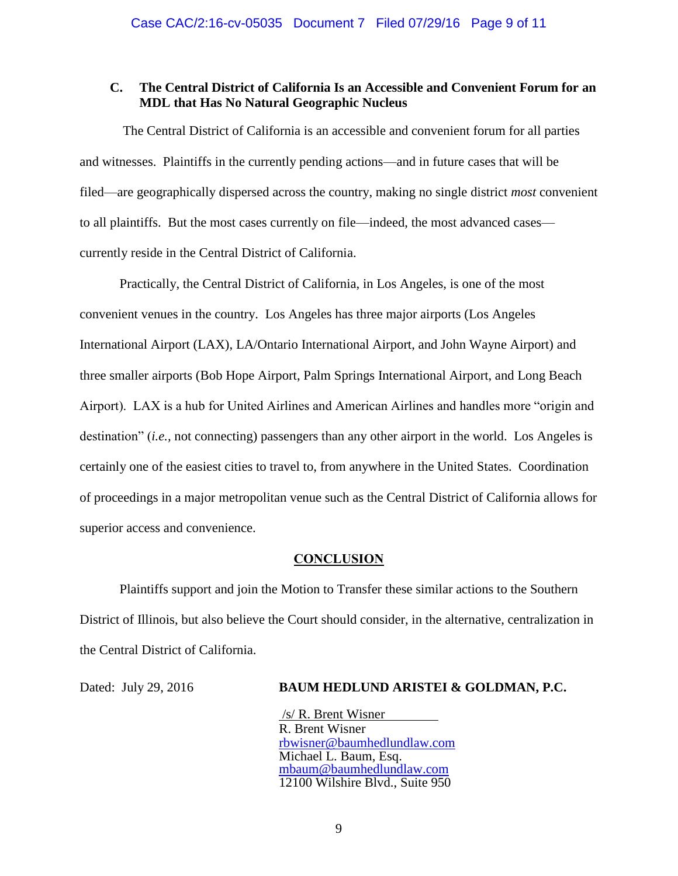## **C. The Central District of California Is an Accessible and Convenient Forum for an MDL that Has No Natural Geographic Nucleus**

The Central District of California is an accessible and convenient forum for all parties and witnesses. Plaintiffs in the currently pending actions—and in future cases that will be filed—are geographically dispersed across the country, making no single district *most* convenient to all plaintiffs. But the most cases currently on file—indeed, the most advanced cases currently reside in the Central District of California.

Practically, the Central District of California, in Los Angeles, is one of the most convenient venues in the country. Los Angeles has three major airports (Los Angeles International Airport (LAX), LA/Ontario International Airport, and John Wayne Airport) and three smaller airports (Bob Hope Airport, Palm Springs International Airport, and Long Beach Airport). LAX is a hub for United Airlines and American Airlines and handles more "origin and destination" (*i.e.,* not connecting) passengers than any other airport in the world. Los Angeles is certainly one of the easiest cities to travel to, from anywhere in the United States. Coordination of proceedings in a major metropolitan venue such as the Central District of California allows for superior access and convenience.

### **CONCLUSION**

Plaintiffs support and join the Motion to Transfer these similar actions to the Southern District of Illinois, but also believe the Court should consider, in the alternative, centralization in the Central District of California.

# Dated: July 29, 2016 **BAUM HEDLUND ARISTEI & GOLDMAN, P.C.**

/s/ R. Brent Wisner R. Brent Wisner [rbwisner@baumhedlundlaw.com](mailto:rbwisner@baumhedlundlaw.com) Michael L. Baum, Esq. [mbaum@baumhedlundlaw.com](mailto:mbaum@baumhedlundlaw.com) 12100 Wilshire Blvd., Suite 950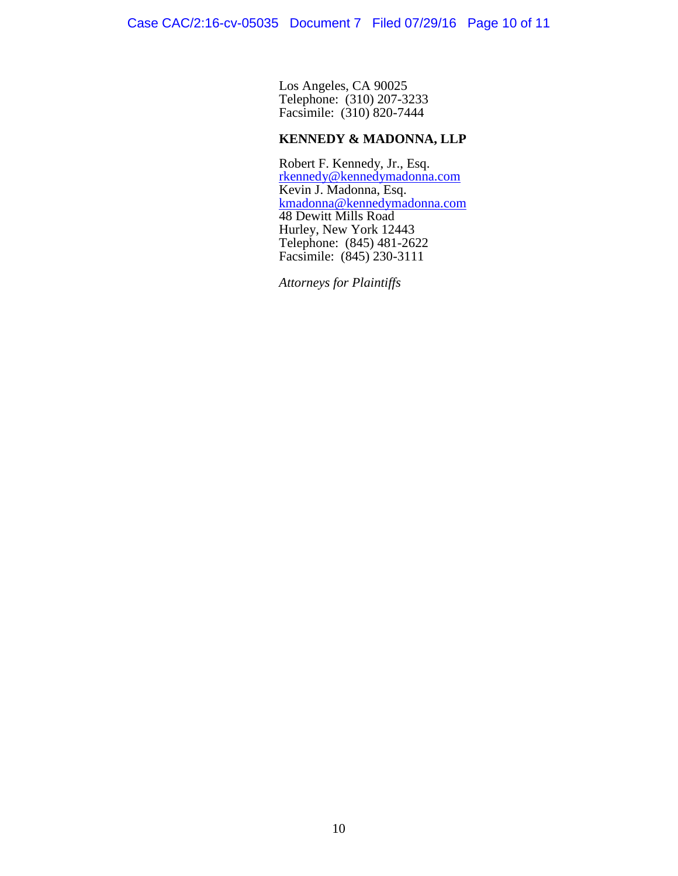Los Angeles, CA 90025 Telephone: (310) 207-3233 Facsimile: (310) 820-7444

### **KENNEDY & MADONNA, LLP**

Robert F. Kennedy, Jr., Esq. [rkennedy@kennedymadonna.com](mailto:rkennedy@kennedymadonna.com)  Kevin J. Madonna, Esq. [kmadonna@kennedymadonna.com](mailto:kmadonna@kennedymadonna.com) 48 Dewitt Mills Road Hurley, New York 12443 Telephone: (845) 481-2622 Facsimile: (845) 230-3111

*Attorneys for Plaintiffs*